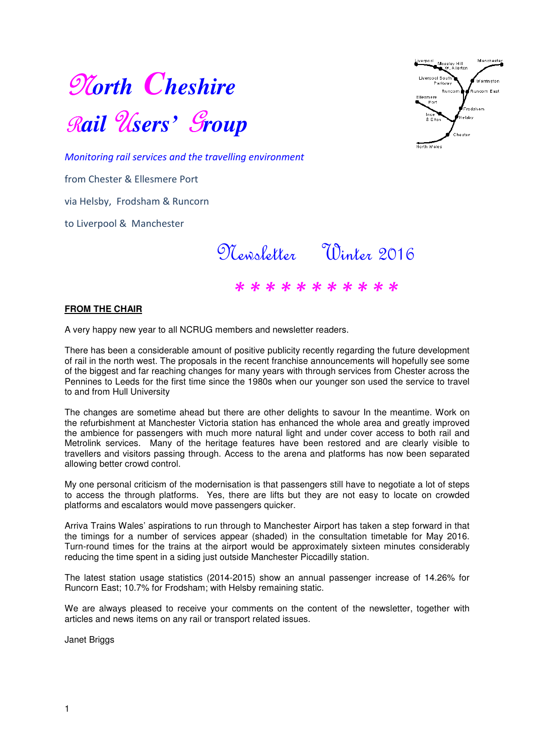<sup>N</sup>*orth Cheshire* <sup>R</sup>*ail*U*sers'* G*roup*



Monitoring rail services and the travelling environment

from Chester & Ellesmere Port

via Helsby, Frodsham & Runcorn

to Liverpool & Manchester

Newsletter Winter 2016

# \* \* \* \* \* \* \* \* \* \* \*

#### **FROM THE CHAIR**

A very happy new year to all NCRUG members and newsletter readers.

There has been a considerable amount of positive publicity recently regarding the future development of rail in the north west. The proposals in the recent franchise announcements will hopefully see some of the biggest and far reaching changes for many years with through services from Chester across the Pennines to Leeds for the first time since the 1980s when our younger son used the service to travel to and from Hull University

The changes are sometime ahead but there are other delights to savour In the meantime. Work on the refurbishment at Manchester Victoria station has enhanced the whole area and greatly improved the ambience for passengers with much more natural light and under cover access to both rail and Metrolink services. Many of the heritage features have been restored and are clearly visible to travellers and visitors passing through. Access to the arena and platforms has now been separated allowing better crowd control.

My one personal criticism of the modernisation is that passengers still have to negotiate a lot of steps to access the through platforms. Yes, there are lifts but they are not easy to locate on crowded platforms and escalators would move passengers quicker.

Arriva Trains Wales' aspirations to run through to Manchester Airport has taken a step forward in that the timings for a number of services appear (shaded) in the consultation timetable for May 2016. Turn-round times for the trains at the airport would be approximately sixteen minutes considerably reducing the time spent in a siding just outside Manchester Piccadilly station.

The latest station usage statistics (2014-2015) show an annual passenger increase of 14.26% for Runcorn East; 10.7% for Frodsham; with Helsby remaining static.

We are always pleased to receive your comments on the content of the newsletter, together with articles and news items on any rail or transport related issues.

Janet Briggs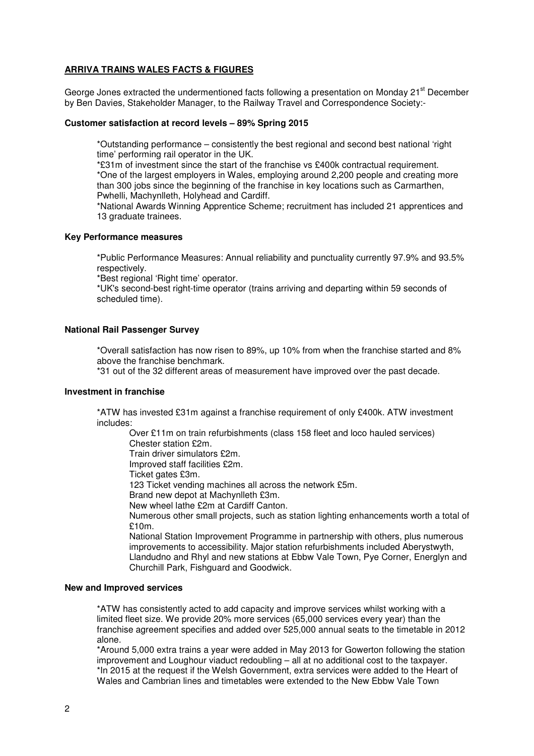# **ARRIVA TRAINS WALES FACTS & FIGURES**

George Jones extracted the undermentioned facts following a presentation on Monday 21<sup>st</sup> December by Ben Davies, Stakeholder Manager, to the Railway Travel and Correspondence Society:-

## **Customer satisfaction at record levels – 89% Spring 2015**

\*Outstanding performance – consistently the best regional and second best national 'right time' performing rail operator in the UK.

\*£31m of investment since the start of the franchise vs £400k contractual requirement. \*One of the largest employers in Wales, employing around 2,200 people and creating more than 300 jobs since the beginning of the franchise in key locations such as Carmarthen, Pwhelli, Machynlleth, Holyhead and Cardiff.

\*National Awards Winning Apprentice Scheme; recruitment has included 21 apprentices and 13 graduate trainees.

## **Key Performance measures**

\*Public Performance Measures: Annual reliability and punctuality currently 97.9% and 93.5% respectively.

\*Best regional 'Right time' operator.

\*UK's second-best right-time operator (trains arriving and departing within 59 seconds of scheduled time).

## **National Rail Passenger Survey**

\*Overall satisfaction has now risen to 89%, up 10% from when the franchise started and 8% above the franchise benchmark.

\*31 out of the 32 different areas of measurement have improved over the past decade.

## **Investment in franchise**

\*ATW has invested £31m against a franchise requirement of only £400k. ATW investment includes:

Over £11m on train refurbishments (class 158 fleet and loco hauled services) Chester station £2m.

Train driver simulators £2m.

Improved staff facilities £2m.

Ticket gates £3m.

123 Ticket vending machines all across the network £5m.

Brand new depot at Machynlleth £3m.

New wheel lathe £2m at Cardiff Canton.

Numerous other small projects, such as station lighting enhancements worth a total of £10m.

National Station Improvement Programme in partnership with others, plus numerous improvements to accessibility. Major station refurbishments included Aberystwyth, Llandudno and Rhyl and new stations at Ebbw Vale Town, Pye Corner, Energlyn and Churchill Park, Fishguard and Goodwick.

## **New and Improved services**

\*ATW has consistently acted to add capacity and improve services whilst working with a limited fleet size. We provide 20% more services (65,000 services every year) than the franchise agreement specifies and added over 525,000 annual seats to the timetable in 2012 alone.

\*Around 5,000 extra trains a year were added in May 2013 for Gowerton following the station improvement and Loughour viaduct redoubling – all at no additional cost to the taxpayer. \*In 2015 at the request if the Welsh Government, extra services were added to the Heart of Wales and Cambrian lines and timetables were extended to the New Ebbw Vale Town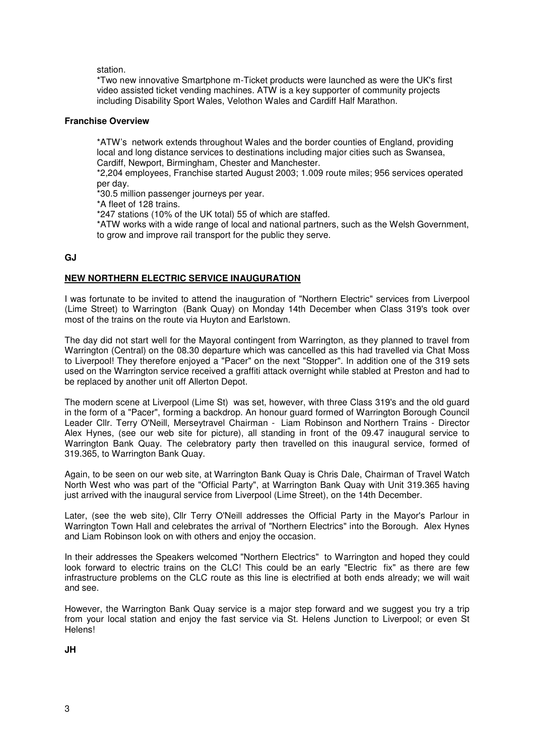station.

\*Two new innovative Smartphone m-Ticket products were launched as were the UK's first video assisted ticket vending machines. ATW is a key supporter of community projects including Disability Sport Wales, Velothon Wales and Cardiff Half Marathon.

# **Franchise Overview**

\*ATW's network extends throughout Wales and the border counties of England, providing local and long distance services to destinations including major cities such as Swansea, Cardiff, Newport, Birmingham, Chester and Manchester.

\*2,204 employees, Franchise started August 2003; 1.009 route miles; 956 services operated per day.

\*30.5 million passenger journeys per year.

\*A fleet of 128 trains.

\*247 stations (10% of the UK total) 55 of which are staffed.

\*ATW works with a wide range of local and national partners, such as the Welsh Government, to grow and improve rail transport for the public they serve.

# **GJ**

# **NEW NORTHERN ELECTRIC SERVICE INAUGURATION**

I was fortunate to be invited to attend the inauguration of "Northern Electric" services from Liverpool (Lime Street) to Warrington (Bank Quay) on Monday 14th December when Class 319's took over most of the trains on the route via Huyton and Earlstown.

The day did not start well for the Mayoral contingent from Warrington, as they planned to travel from Warrington (Central) on the 08.30 departure which was cancelled as this had travelled via Chat Moss to Liverpool! They therefore enjoyed a "Pacer" on the next "Stopper". In addition one of the 319 sets used on the Warrington service received a graffiti attack overnight while stabled at Preston and had to be replaced by another unit off Allerton Depot.

The modern scene at Liverpool (Lime St) was set, however, with three Class 319's and the old guard in the form of a "Pacer", forming a backdrop. An honour guard formed of Warrington Borough Council Leader Cllr. Terry O'Neill, Merseytravel Chairman - Liam Robinson and Northern Trains - Director Alex Hynes, (see our web site for picture), all standing in front of the 09.47 inaugural service to Warrington Bank Quay. The celebratory party then travelled on this inaugural service, formed of 319.365, to Warrington Bank Quay.

Again, to be seen on our web site, at Warrington Bank Quay is Chris Dale, Chairman of Travel Watch North West who was part of the "Official Party", at Warrington Bank Quay with Unit 319.365 having just arrived with the inaugural service from Liverpool (Lime Street), on the 14th December.

Later, (see the web site), Cllr Terry O'Neill addresses the Official Party in the Mayor's Parlour in Warrington Town Hall and celebrates the arrival of "Northern Electrics" into the Borough. Alex Hynes and Liam Robinson look on with others and enjoy the occasion.

In their addresses the Speakers welcomed "Northern Electrics" to Warrington and hoped they could look forward to electric trains on the CLC! This could be an early "Electric fix" as there are few infrastructure problems on the CLC route as this line is electrified at both ends already; we will wait and see.

However, the Warrington Bank Quay service is a major step forward and we suggest you try a trip from your local station and enjoy the fast service via St. Helens Junction to Liverpool; or even St Helens!

**JH**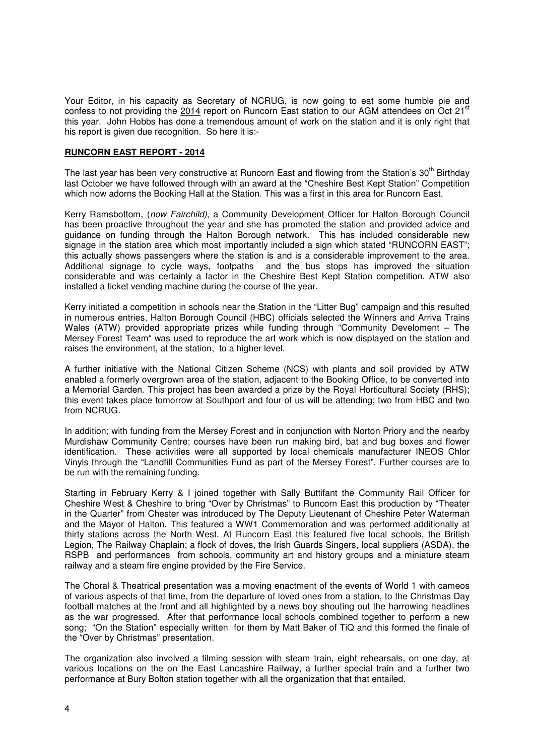Your Editor, in his capacity as Secretary of NCRUG, is now going to eat some humble pie and confess to not providing the 2014 report on Runcorn East station to our AGM attendees on Oct 21<sup>st</sup> this year. John Hobbs has done a tremendous amount of work on the station and it is only right that his report is given due recognition. So here it is:-

# **RUNCORN EAST REPORT - 2014**

The last year has been very constructive at Runcorn East and flowing from the Station's 30<sup>th</sup> Birthday last October we have followed through with an award at the "Cheshire Best Kept Station" Competition which now adorns the Booking Hall at the Station. This was a first in this area for Runcorn East.

Kerry Ramsbottom, (now Fairchild), a Community Development Officer for Halton Borough Council has been proactive throughout the year and she has promoted the station and provided advice and guidance on funding through the Halton Borough network. This has included considerable new signage in the station area which most importantly included a sign which stated "RUNCORN EAST"; this actually shows passengers where the station is and is a considerable improvement to the area. Additional signage to cycle ways, footpaths and the bus stops has improved the situation considerable and was certainly a factor in the Cheshire Best Kept Station competition. ATW also installed a ticket vending machine during the course of the year.

Kerry initiated a competition in schools near the Station in the "Litter Bug" campaign and this resulted in numerous entries, Halton Borough Council (HBC) officials selected the Winners and Arriva Trains Wales (ATW) provided appropriate prizes while funding through "Community Develoment – The Mersey Forest Team" was used to reproduce the art work which is now displayed on the station and raises the environment, at the station, to a higher level.

A further initiative with the National Citizen Scheme (NCS) with plants and soil provided by ATW enabled a formerly overgrown area of the station, adjacent to the Booking Office, to be converted into a Memorial Garden. This project has been awarded a prize by the Royal Horticultural Society (RHS); this event takes place tomorrow at Southport and four of us will be attending; two from HBC and two from NCRUG.

In addition; with funding from the Mersey Forest and in conjunction with Norton Priory and the nearby Murdishaw Community Centre; courses have been run making bird, bat and bug boxes and flower identification. These activities were all supported by local chemicals manufacturer INEOS Chlor Vinyls through the "Landfill Communities Fund as part of the Mersey Forest". Further courses are to be run with the remaining funding.

Starting in February Kerry & I joined together with Sally Buttifant the Community Rail Officer for Cheshire West & Cheshire to bring "Over by Christmas" to Runcorn East this production by "Theater in the Quarter" from Chester was introduced by The Deputy Lieutenant of Cheshire Peter Waterman and the Mayor of Halton. This featured a WW1 Commemoration and was performed additionally at thirty stations across the North West. At Runcorn East this featured five local schools, the British Legion, The Railway Chaplain; a flock of doves, the Irish Guards Singers, local suppliers (ASDA), the RSPB and performances from schools, community art and history groups and a miniature steam railway and a steam fire engine provided by the Fire Service.

The Choral & Theatrical presentation was a moving enactment of the events of World 1 with cameos of various aspects of that time, from the departure of loved ones from a station, to the Christmas Day football matches at the front and all highlighted by a news boy shouting out the harrowing headlines as the war progressed. After that performance local schools combined together to perform a new song; "On the Station" especially written for them by Matt Baker of TiQ and this formed the finale of the "Over by Christmas" presentation.

The organization also involved a filming session with steam train, eight rehearsals, on one day, at various locations on the on the East Lancashire Railway, a further special train and a further two performance at Bury Bolton station together with all the organization that that entailed.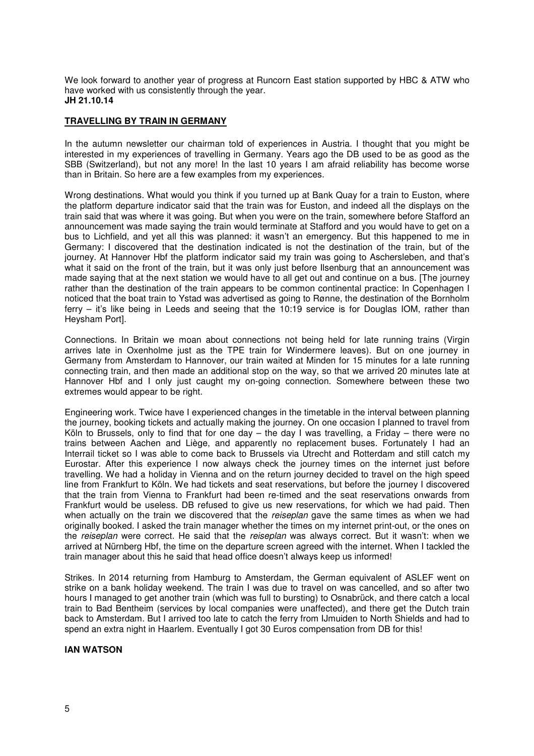We look forward to another year of progress at Runcorn East station supported by HBC & ATW who have worked with us consistently through the year. **JH 21.10.14** 

# **TRAVELLING BY TRAIN IN GERMANY**

In the autumn newsletter our chairman told of experiences in Austria. I thought that you might be interested in my experiences of travelling in Germany. Years ago the DB used to be as good as the SBB (Switzerland), but not any more! In the last 10 years I am afraid reliability has become worse than in Britain. So here are a few examples from my experiences.

Wrong destinations. What would you think if you turned up at Bank Quay for a train to Euston, where the platform departure indicator said that the train was for Euston, and indeed all the displays on the train said that was where it was going. But when you were on the train, somewhere before Stafford an announcement was made saying the train would terminate at Stafford and you would have to get on a bus to Lichfield, and yet all this was planned: it wasn't an emergency. But this happened to me in Germany: I discovered that the destination indicated is not the destination of the train, but of the journey. At Hannover Hbf the platform indicator said my train was going to Aschersleben, and that's what it said on the front of the train, but it was only just before Ilsenburg that an announcement was made saying that at the next station we would have to all get out and continue on a bus. [The journey rather than the destination of the train appears to be common continental practice: In Copenhagen I noticed that the boat train to Ystad was advertised as going to Rønne, the destination of the Bornholm ferry – it's like being in Leeds and seeing that the 10:19 service is for Douglas IOM, rather than Heysham Port].

Connections. In Britain we moan about connections not being held for late running trains (Virgin arrives late in Oxenholme just as the TPE train for Windermere leaves). But on one journey in Germany from Amsterdam to Hannover, our train waited at Minden for 15 minutes for a late running connecting train, and then made an additional stop on the way, so that we arrived 20 minutes late at Hannover Hbf and I only just caught my on-going connection. Somewhere between these two extremes would appear to be right.

Engineering work. Twice have I experienced changes in the timetable in the interval between planning the journey, booking tickets and actually making the journey. On one occasion I planned to travel from Köln to Brussels, only to find that for one day – the day I was travelling, a Friday – there were no trains between Aachen and Liège, and apparently no replacement buses. Fortunately I had an Interrail ticket so I was able to come back to Brussels via Utrecht and Rotterdam and still catch my Eurostar. After this experience I now always check the journey times on the internet just before travelling. We had a holiday in Vienna and on the return journey decided to travel on the high speed line from Frankfurt to Köln. We had tickets and seat reservations, but before the journey I discovered that the train from Vienna to Frankfurt had been re-timed and the seat reservations onwards from Frankfurt would be useless. DB refused to give us new reservations, for which we had paid. Then when actually on the train we discovered that the reiseplan gave the same times as when we had originally booked. I asked the train manager whether the times on my internet print-out, or the ones on the reiseplan were correct. He said that the reiseplan was always correct. But it wasn't: when we arrived at Nürnberg Hbf, the time on the departure screen agreed with the internet. When I tackled the train manager about this he said that head office doesn't always keep us informed!

Strikes. In 2014 returning from Hamburg to Amsterdam, the German equivalent of ASLEF went on strike on a bank holiday weekend. The train I was due to travel on was cancelled, and so after two hours I managed to get another train (which was full to bursting) to Osnabrück, and there catch a local train to Bad Bentheim (services by local companies were unaffected), and there get the Dutch train back to Amsterdam. But I arrived too late to catch the ferry from IJmuiden to North Shields and had to spend an extra night in Haarlem. Eventually I got 30 Euros compensation from DB for this!

## **IAN WATSON**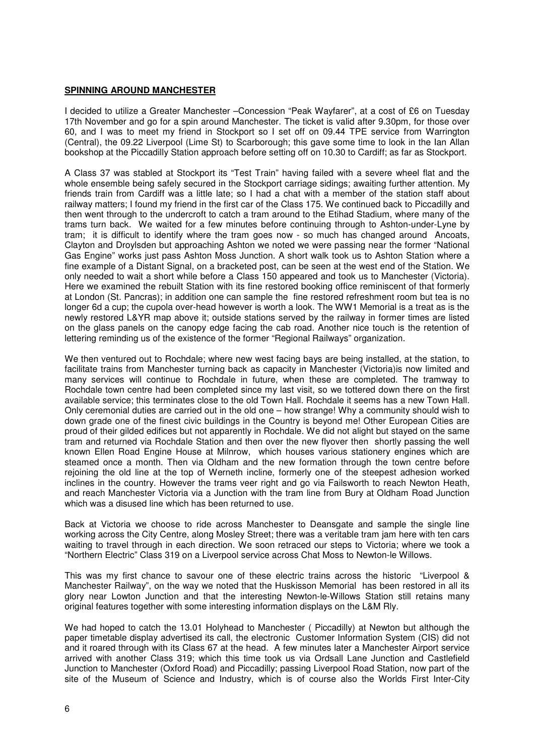# **SPINNING AROUND MANCHESTER**

I decided to utilize a Greater Manchester –Concession "Peak Wayfarer", at a cost of £6 on Tuesday 17th November and go for a spin around Manchester. The ticket is valid after 9.30pm, for those over 60, and I was to meet my friend in Stockport so I set off on 09.44 TPE service from Warrington (Central), the 09.22 Liverpool (Lime St) to Scarborough; this gave some time to look in the Ian Allan bookshop at the Piccadilly Station approach before setting off on 10.30 to Cardiff; as far as Stockport.

A Class 37 was stabled at Stockport its "Test Train" having failed with a severe wheel flat and the whole ensemble being safely secured in the Stockport carriage sidings; awaiting further attention. My friends train from Cardiff was a little late; so I had a chat with a member of the station staff about railway matters; I found my friend in the first car of the Class 175. We continued back to Piccadilly and then went through to the undercroft to catch a tram around to the Etihad Stadium, where many of the trams turn back. We waited for a few minutes before continuing through to Ashton-under-Lyne by tram; it is difficult to identify where the tram goes now - so much has changed around Ancoats, Clayton and Droylsden but approaching Ashton we noted we were passing near the former "National Gas Engine" works just pass Ashton Moss Junction. A short walk took us to Ashton Station where a fine example of a Distant Signal, on a bracketed post, can be seen at the west end of the Station. We only needed to wait a short while before a Class 150 appeared and took us to Manchester (Victoria). Here we examined the rebuilt Station with its fine restored booking office reminiscent of that formerly at London (St. Pancras); in addition one can sample the fine restored refreshment room but tea is no longer 6d a cup; the cupola over-head however is worth a look. The WW1 Memorial is a treat as is the newly restored L&YR map above it; outside stations served by the railway in former times are listed on the glass panels on the canopy edge facing the cab road. Another nice touch is the retention of lettering reminding us of the existence of the former "Regional Railways" organization.

We then ventured out to Rochdale; where new west facing bays are being installed, at the station, to facilitate trains from Manchester turning back as capacity in Manchester (Victoria)is now limited and many services will continue to Rochdale in future, when these are completed. The tramway to Rochdale town centre had been completed since my last visit, so we tottered down there on the first available service; this terminates close to the old Town Hall. Rochdale it seems has a new Town Hall. Only ceremonial duties are carried out in the old one – how strange! Why a community should wish to down grade one of the finest civic buildings in the Country is beyond me! Other European Cities are proud of their gilded edifices but not apparently in Rochdale. We did not alight but stayed on the same tram and returned via Rochdale Station and then over the new flyover then shortly passing the well known Ellen Road Engine House at Milnrow, which houses various stationery engines which are steamed once a month. Then via Oldham and the new formation through the town centre before rejoining the old line at the top of Werneth incline, formerly one of the steepest adhesion worked inclines in the country. However the trams veer right and go via Failsworth to reach Newton Heath, and reach Manchester Victoria via a Junction with the tram line from Bury at Oldham Road Junction which was a disused line which has been returned to use.

Back at Victoria we choose to ride across Manchester to Deansgate and sample the single line working across the City Centre, along Mosley Street; there was a veritable tram jam here with ten cars waiting to travel through in each direction. We soon retraced our steps to Victoria; where we took a "Northern Electric" Class 319 on a Liverpool service across Chat Moss to Newton-le Willows.

This was my first chance to savour one of these electric trains across the historic "Liverpool & Manchester Railway", on the way we noted that the Huskisson Memorial has been restored in all its glory near Lowton Junction and that the interesting Newton-le-Willows Station still retains many original features together with some interesting information displays on the L&M Rly.

We had hoped to catch the 13.01 Holyhead to Manchester ( Piccadilly) at Newton but although the paper timetable display advertised its call, the electronic Customer Information System (CIS) did not and it roared through with its Class 67 at the head. A few minutes later a Manchester Airport service arrived with another Class 319; which this time took us via Ordsall Lane Junction and Castlefield Junction to Manchester (Oxford Road) and Piccadilly; passing Liverpool Road Station, now part of the site of the Museum of Science and Industry, which is of course also the Worlds First Inter-City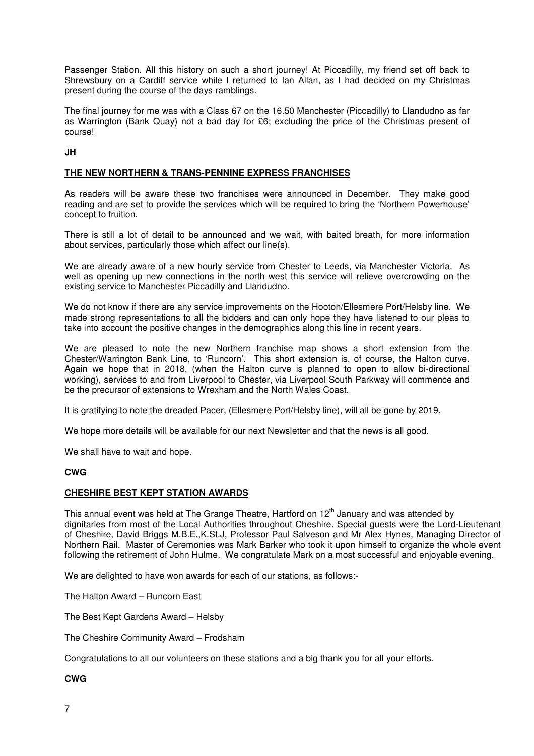Passenger Station. All this history on such a short journey! At Piccadilly, my friend set off back to Shrewsbury on a Cardiff service while I returned to Ian Allan, as I had decided on my Christmas present during the course of the days ramblings.

The final journey for me was with a Class 67 on the 16.50 Manchester (Piccadilly) to Llandudno as far as Warrington (Bank Quay) not a bad day for £6; excluding the price of the Christmas present of course!

# **JH**

# **THE NEW NORTHERN & TRANS-PENNINE EXPRESS FRANCHISES**

As readers will be aware these two franchises were announced in December. They make good reading and are set to provide the services which will be required to bring the 'Northern Powerhouse' concept to fruition.

There is still a lot of detail to be announced and we wait, with baited breath, for more information about services, particularly those which affect our line(s).

We are already aware of a new hourly service from Chester to Leeds, via Manchester Victoria. As well as opening up new connections in the north west this service will relieve overcrowding on the existing service to Manchester Piccadilly and Llandudno.

We do not know if there are any service improvements on the Hooton/Ellesmere Port/Helsby line. We made strong representations to all the bidders and can only hope they have listened to our pleas to take into account the positive changes in the demographics along this line in recent years.

We are pleased to note the new Northern franchise map shows a short extension from the Chester/Warrington Bank Line, to 'Runcorn'. This short extension is, of course, the Halton curve. Again we hope that in 2018, (when the Halton curve is planned to open to allow bi-directional working), services to and from Liverpool to Chester, via Liverpool South Parkway will commence and be the precursor of extensions to Wrexham and the North Wales Coast.

It is gratifying to note the dreaded Pacer, (Ellesmere Port/Helsby line), will all be gone by 2019.

We hope more details will be available for our next Newsletter and that the news is all good.

We shall have to wait and hope.

# **CWG**

# **CHESHIRE BEST KEPT STATION AWARDS**

This annual event was held at The Grange Theatre, Hartford on 12<sup>th</sup> January and was attended by dignitaries from most of the Local Authorities throughout Cheshire. Special guests were the Lord-Lieutenant of Cheshire, David Briggs M.B.E.,K.St.J, Professor Paul Salveson and Mr Alex Hynes, Managing Director of Northern Rail. Master of Ceremonies was Mark Barker who took it upon himself to organize the whole event following the retirement of John Hulme. We congratulate Mark on a most successful and enjoyable evening.

We are delighted to have won awards for each of our stations, as follows:-

The Halton Award – Runcorn East

The Best Kept Gardens Award – Helsby

The Cheshire Community Award – Frodsham

Congratulations to all our volunteers on these stations and a big thank you for all your efforts.

# **CWG**